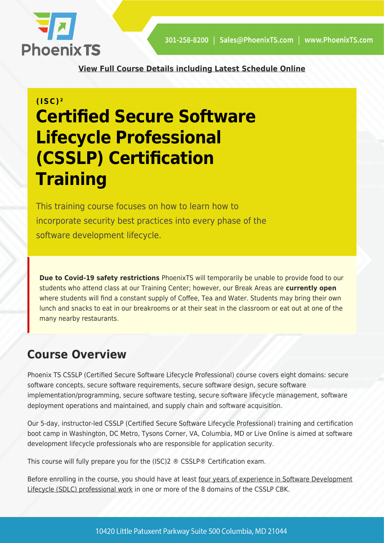

**[View Full Course Details including Latest Schedule Online](https://phoenixts.com/training-courses/certified-secure-software-lifecycle-professional-csslp/)**

# **(ISC)² Certified Secure Software Lifecycle Professional (CSSLP) Certification Training**

This training course focuses on how to learn how to incorporate security best practices into every phase of the software development lifecycle.

**Due to Covid-19 safety restrictions** PhoenixTS will temporarily be unable to provide food to our students who attend class at our Training Center; however, our Break Areas are **currently open** where students will find a constant supply of Coffee, Tea and Water. Students may bring their own lunch and snacks to eat in our breakrooms or at their seat in the classroom or eat out at one of the many nearby restaurants.

## **Course Overview**

Phoenix TS CSSLP (Certified Secure Software Lifecycle Professional) course covers eight domains: secure software concepts, secure software requirements, secure software design, secure software implementation/programming, secure software testing, secure software lifecycle management, software deployment operations and maintained, and supply chain and software acquisition.

Our 5-day, instructor-led CSSLP (Certified Secure Software Lifecycle Professional) training and certification boot camp in Washington, DC Metro, Tysons Corner, VA, Columbia, MD or Live Online is aimed at software development lifecycle professionals who are responsible for application security.

This course will fully prepare you for the (ISC)2 ® CSSLP® Certification exam.

Before enrolling in the course, you should have at least [four years of experience in Software Development](https://www.isc2.org/Certifications/CSSLP/experience-requirements) [Lifecycle \(SDLC\) professional work](https://www.isc2.org/Certifications/CSSLP/experience-requirements) in one or more of the 8 domains of the CSSLP CBK.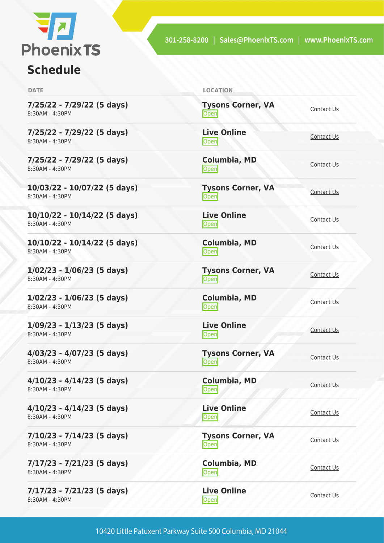

## **Schedule**

| <b>DATE</b>                                       | <b>LOCATION</b>                   |                   |
|---------------------------------------------------|-----------------------------------|-------------------|
| 7/25/22 - 7/29/22 (5 days)<br>8:30AM - 4:30PM     | <b>Tysons Corner, VA</b><br>Open  | Contact Us        |
| 7/25/22 - 7/29/22 (5 days)<br>8:30AM - 4:30PM     | <b>Live Online</b><br>Open        | Contact Us        |
| 7/25/22 - 7/29/22 (5 days)<br>8:30AM - 4:30PM     | Columbia, MD<br>Open              | Contact Us        |
| 10/03/22 - 10/07/22 (5 days)<br>8:30AM - 4:30PM   | <b>Tysons Corner, VA</b><br>Open  | Contact Us        |
| $10/10/22 - 10/14/22$ (5 days)<br>8:30AM - 4:30PM | <b>Live Online</b><br>Open        | Contact Us        |
| 10/10/22 - 10/14/22 (5 days)<br>8:30AM - 4:30PM   | Columbia, MD<br>Open              | Contact Us        |
| $1/02/23 - 1/06/23$ (5 days)<br>8:30AM - 4:30PM   | <b>Tysons Corner, VA</b><br>Open  | Contact Us        |
| $1/02/23 - 1/06/23$ (5 days)<br>8:30AM - 4:30PM   | Columbia, MD<br><b>Open</b>       | Contact Us        |
| $1/09/23 - 1/13/23$ (5 days)<br>8:30AM - 4:30PM   | <b>Live Online</b><br>Open        | Contact Us        |
| 4/03/23 - 4/07/23 (5 days)<br>8:30AM - 4:30PM     | <b>Tysons Corner, VA</b><br> Open | Contact Us        |
| $4/10/23 - 4/14/23$ (5 days)<br>8:30AM - 4:30PM   | Columbia, MD<br>Open              | Contact Us        |
| 4/10/23 - 4/14/23 (5 days)<br>8:30AM - 4:30PM     | <b>Live Online</b><br><b>Open</b> | Contact Us        |
| 7/10/23 - 7/14/23 (5 days)<br>8:30AM - 4:30PM     | <b>Tysons Corner, VA</b><br>Open  | Contact Us        |
| 7/17/23 - 7/21/23 (5 days)<br>8:30AM - 4:30PM     | Columbia, MD<br>Open              | Contact Us        |
| 7/17/23 - 7/21/23 (5 days)<br>8:30AM - 4:30PM     | <b>Live Online</b><br>Open        | <b>Contact Us</b> |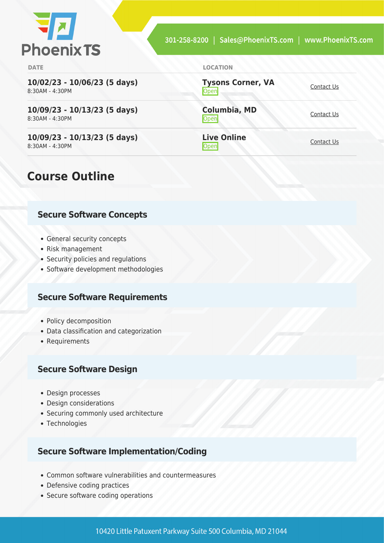

**Open** [Contact Us](https://phoenixts.com/schedule/more-info/?class=28335)

[Contact Us](https://phoenixts.com/schedule/more-info/?class=28339)

<u>[Contact Us](https://phoenixts.com/schedule/more-info/?class=28343)</u>

**Tysons Corner, VA**

**Columbia, MD**

**Live Online**

**DATE LOCATION**

**10/02/23 - 10/06/23 (5 days)** 8:30AM - 4:30PM

**10/09/23 - 10/13/23 (5 days)** 8:30AM - 4:30PM

**10/09/23 - 10/13/23 (5 days)** 8:30AM - 4:30PM

## **Course Outline**

#### **Secure Software Concepts**

- General security concepts
- Risk management
- Security policies and regulations
- Software development methodologies

#### **Secure Software Requirements**

- Policy decomposition
- Data classification and categorization
- Requirements

#### **Secure Software Design**

- Design processes
- Design considerations
- Securing commonly used architecture
- Technologies

#### **Secure Software Implementation/Coding**

- Common software vulnerabilities and countermeasures
- Defensive coding practices
- Secure software coding operations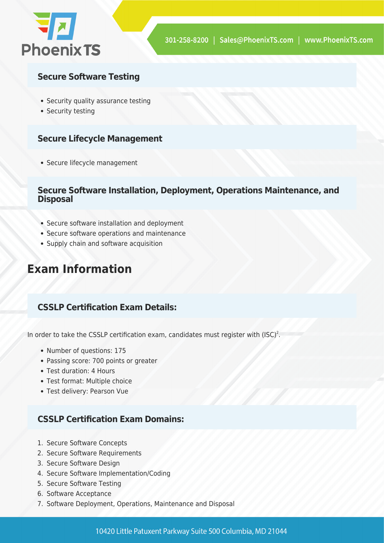

#### **Secure Software Testing**

- Security quality assurance testing
- Security testing

#### **Secure Lifecycle Management**

Secure lifecycle management

#### **Secure Software Installation, Deployment, Operations Maintenance, and Disposal**

- Secure software installation and deployment
- Secure software operations and maintenance
- Supply chain and software acquisition

## **Exam Information**

#### **CSSLP Certification Exam Details:**

In order to take the CSSLP certification exam, candidates must register with  $(ISC)^2$ .

- Number of questions: 175
- Passing score: 700 points or greater
- Test duration: 4 Hours
- Test format: Multiple choice
- Test delivery: Pearson Vue

#### **CSSLP Certification Exam Domains:**

- 1. Secure Software Concepts
- 2. Secure Software Requirements
- 3. Secure Software Design
- 4. Secure Software Implementation/Coding
- 5. Secure Software Testing
- 6. Software Acceptance
- 7. Software Deployment, Operations, Maintenance and Disposal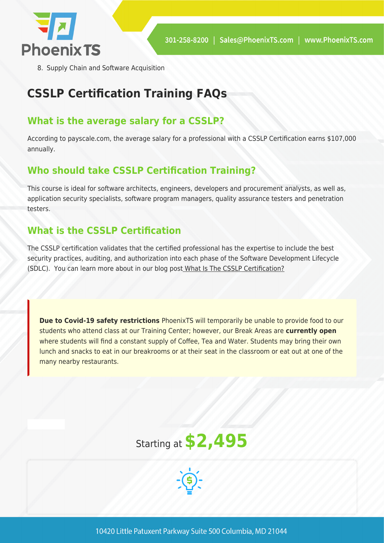

8. Supply Chain and Software Acquisition

## **CSSLP Certification Training FAQs**

### **What is the average salary for a CSSLP?**

According to payscale.com, the average salary for a professional with a CSSLP Certification earns \$107,000 annually.

### **Who should take CSSLP Certification Training?**

This course is ideal for software architects, engineers, developers and procurement analysts, as well as, application security specialists, software program managers, quality assurance testers and penetration testers.

### **What is the CSSLP Certification**

The CSSLP certification validates that the certified professional has the expertise to include the best security practices, auditing, and authorization into each phase of the Software Development Lifecycle (SDLC). You can learn more about in our blog post [What Is The CSSLP Certification?](https://phoenixts.com/2018/01/13/what-is-csslp-certification/)

**Due to Covid-19 safety restrictions** PhoenixTS will temporarily be unable to provide food to our students who attend class at our Training Center; however, our Break Areas are **currently open** where students will find a constant supply of Coffee, Tea and Water. Students may bring their own lunch and snacks to eat in our breakrooms or at their seat in the classroom or eat out at one of the many nearby restaurants.